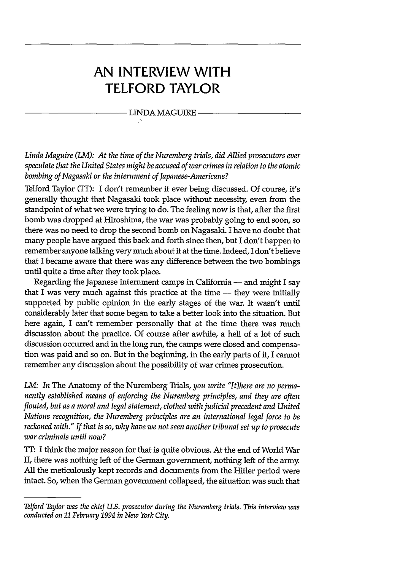### **AN INTERVIEW WITH TELFORD TAYLOR**

#### LINDA MAGUIRE

*Linda Maguire (LM): At the time of the Nuremberg trials, did Allied prosecutors ever speculate that the United States might be accused of war crimes in relation to the atomic bombing of Nagasaki or the internment of Japanese-Americans?*

Telford Taylor (TT): I **don't** remember it ever being discussed. **Of** course, it's generally thought that Nagasaki took place without necessity, even from the standpoint of what we were trying to do. The feeling now is that, after the first bomb was dropped at Hiroshima, the war was probably going to end soon, so there was no need to drop the second bomb on Nagasaki. I have no doubt that many people have argued this back and forth since then, but I **don't** happen to remember anyone talking very much about it at the time. Indeed, I don't believe that I became aware that there was any difference between the two bombings until quite a time after they took place.

Regarding the Japanese internment camps in California — and might I say that I was very much against this practice at the time  $-$  they were initially supported by public opinion in the early stages of the war. It wasn't until considerably later that some began to take a better look into the situation. But here again, I can't remember personally that at the time there was much discussion about the practice. Of course after awhile, a hell of a lot of such discussion occurred and in the long run, the camps were closed and compensation was paid and so on. But in the beginning, in the early parts of it, I cannot remember any discussion about the possibility of war crimes prosecution.

LM: In The Anatomy of the Nuremberg Trials, you write "[t]here are no perma*nently established means of enforcing the Nuremberg principles, and they are often flouted, but as a moral and legal statement, clothed with judicial precedent and United Nations recognition, the Nuremberg principles are an international legal force to be reckoned with." If that is so, why have we not seen another tribunal set up to prosecute war criminals until now?*

**IT:** I think the major reason for that is quite obvious. At the end of World War II, there was nothing left of the German government, nothing left of the army. All the meticulously kept records and documents from the Hitler period were intact. So, when the German government collapsed, the situation was such that

*Telford Taylor was the chief U.S. prosecutor during the Nuremberg trials. This interview was conducted on 11 February 1994 in New York City.*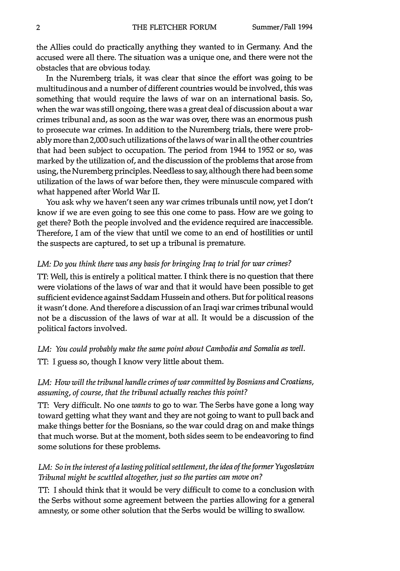the Allies could do practically anything they wanted to in Germany. And the accused were all there. The situation was a unique one, and there were not the obstacles that are obvious today.

In the Nuremberg trials, it was clear that since the effort was going to be multitudinous and a number of different countries would be involved, this was something that would require the laws of war on an international basis. So, when the war was still ongoing, there was a great deal of discussion about a war crimes tribunal and, as soon as the war was over, there was an enormous push to prosecute war crimes. In addition to the Nuremberg trials, there were probably more than 2,000 such utilizations of the laws of war in all the other countries that had been subject to occupation. The period from 1944 to 1952 or so, was marked by the utilization of, and the discussion of the problems that arose from using, the Nuremberg principles. Needless to say, although there had been some utilization of the laws of war before then, they were minuscule compared with what happened after World War II.

You ask why we haven't seen any war crimes tribunals until now, yet I don't know if we are even going to see this one come to pass. How are we going to get there? Both the people involved and the evidence required are inaccessible. Therefore, I am of the view that until we come to an end of hostilities or until the suspects are captured, to set up a tribunal is premature.

#### *LM: Do you think there was any basis for bringing Iraq to trial for war crimes?*

TT: Well, this is entirely a political matter. I think there is no question that there were violations of the laws of war and that it would have been possible to get sufficient evidence against Saddam Hussein and others. But for political reasons it wasn't done. And therefore a discussion of an Iraqi war crimes tribunal would not be a discussion of the laws of war at all. It would be a discussion of the political factors involved.

*LM: You could probably make the same point about Cambodia and Somalia as well.* TT: I guess so, though I know very little about them.

#### *LM: How will the tribunal handle crimes of war committed by Bosnians and Croatians, assuming, of course, that the tribunal actually reaches this point?*

TT: Very difficult. No one *wants* to go to war. The Serbs have gone a long way toward getting what they want and they are not going to want to pull back and make things better for the Bosnians, so the war could drag on and make things that much worse. But at the moment, both sides seem to be endeavoring to find some solutions for these problems.

#### *LM: So in the interest of a lasting political settlement, the idea of the former Yugoslavian Tribunal might be scuttled altogether, just so the parties can move on?*

TT: **I** should think that it would be very difficult to come to a conclusion with the Serbs without some agreement between the parties allowing for a general amnesty, or some other solution that the Serbs would be willing to swallow.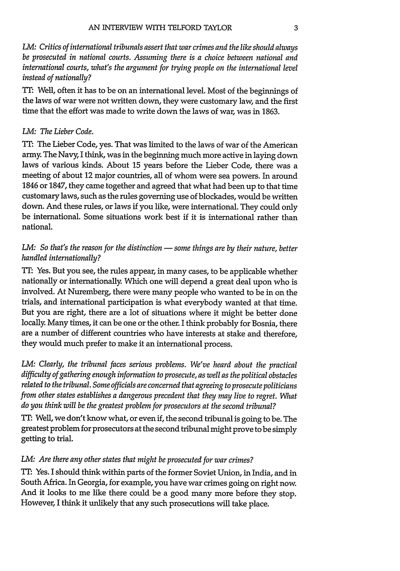*LM: Critics of international tribunals assert that war crimes and the like should always be prosecuted in national courts. Assuming there is a choice between national and international courts, what's the argument for trying people on the international level instead of nationally?*

TT: Well, often it has to be on an international level. Most of the beginnings of the laws of war were not written down, they were customary law, and the first time that the effort was made to write down the laws of war, was in **1863.**

#### *LM: The Lieber Code.*

**TT:** The Lieber Code, yes. That was limited to the laws of war of the American army. The Navy, I think, was in the beginning much more active in laying down laws of various kinds. About **15** years before the Lieber Code, there was a meeting of about 12 major countries, all of whom were sea powers. In around 1846 or **1847,** they came together and agreed that what had been up to that time customary laws, such as the rules governing use of blockades, would be written down. And these rules, or laws **if** you like, were international. They could only be international. Some situations work best if it is international rather than national.

#### *LM:* So that's the reason for the distinction — some things are by their nature, better *handled internationally?*

*TT:* Yes. But you see, the rules appear, in many cases, to be applicable whether nationally or internationally. Which one will depend a great deal upon who is involved. At Nuremberg, there were many people who wanted to be in on the trials, and international participation is what everybody wanted at that time. But you are right, there are a lot of situations where it might be better done locally. Many times, it can be one or the other. I think probably for Bosnia, there are a number of different countries who have interests at stake and therefore, they would much prefer to make it an international process.

*LM: Clearly, the tribunal faces serious problems. We've heard about the practical difficulty of gathering enough information to prosecute, as well as the political obstacles related to the tribunal. Some officials are concerned that agreeing to prosecute politicians from other states establishes a dangerous precedent that they may live to regret. What do you think will be the greatest problem for prosecutors at the second tribunal?*

TT: Well, we don't know what, or even if, the second tribunal is going to be. The greatest problem for prosecutors at the second tribunal might prove to be simply getting to trial.

#### *LM: Are there any other states that might be prosecuted for war crimes?*

TIT: Yes. I should think within parts of the former Soviet Union, in India, and in South Africa. In Georgia, for example, you have war crimes going on right now. And it looks to me like there could be a good many more before they stop. However, I think it unlikely that any such prosecutions will take place.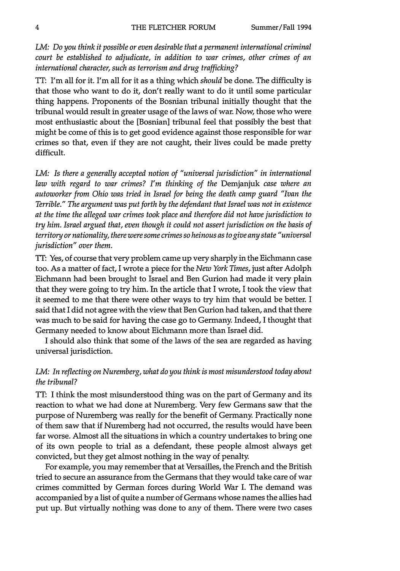*LM: Do you think it possible or even desirable that a permanent international criminal court be established to adjudicate, in addition to war crimes, other crimes of an international character, such as terrorism and drug trafficking?*

**TT:** I'm all for it. I'm all for it as a thing which *should* be done. The difficulty is that those who want to do it, don't really want to do it until some particular thing happens. Proponents of the Bosnian tribunal initially thought that the tribunal would result in greater usage of the laws of war. Now, those who were most enthusiastic about the [Bosnian] tribunal feel that possibly the best that might be come of this is to get good evidence against those responsible for war crimes so that, even if they are not caught, their lives could be made pretty difficult.

*LM: Is there a generally accepted notion of "universal jurisdiction" in international law with regard to war crimes? I'm thinking of the* Demjanjuk *case where an autoworker from Ohio was tried in Israel for being the death camp guard "Ivan the Terrible." The argument was put forth by the defendant that Israel was not in existence at the time the alleged war crimes took place and therefore did not have jurisdiction to try him. Israel argued that, even though it could not assert jurisdiction on the basis of territory or nationality, there were some crimes so heinous as to give any state "universal jurisdiction" over them.*

TFT: Yes, of course that very problem came up very sharply in the Eichmann case too. As a matter of fact, I wrote a piece for the *New York Times,* just after Adolph Eichmann had been brought to Israel and Ben Gurion had made it very plain that they were going to try him. In the article that I wrote, I took the view that it seemed to me that there were other ways to try him that would be better. I said that I did not agree with the view that Ben Gurion had taken, and that there was much to be said for having the case go to Germany. Indeed, I thought that Germany needed to know about Eichmann more than Israel did.

I should also think that some of the laws of the sea are regarded as having universal jurisdiction.

#### *LM: In reflecting on Nuremberg, what do you think is most misunderstood today about the tribunal?*

TT: **I** think the most misunderstood thing was on the part of Germany and its reaction to what we had done at Nuremberg. Very few Germans saw that the purpose of Nuremberg was really for the benefit of Germany. Practically none of them saw that if Nuremberg had not occurred, the results would have been far worse. Almost all the situations in which a country undertakes to bring one of its own people to trial as a defendant, these people almost always get convicted, but they get almost nothing in the way of penalty.

For example, you may remember that at Versailles, the French and the British tried to secure an assurance from the Germans that they would take care of war crimes committed by German forces during World War I. The demand was accompanied by a list of quite a number of Germans whose names the allies had put up. But virtually nothing was done to any of them. There were two cases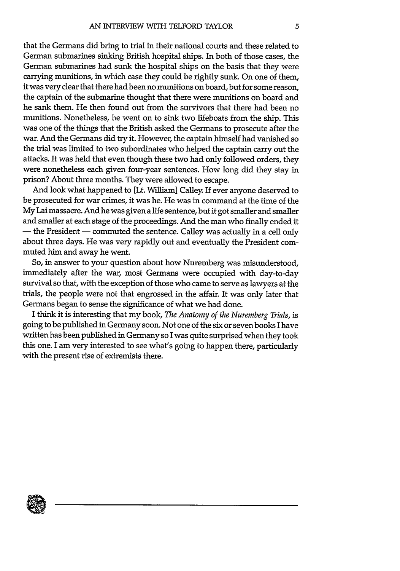that the Germans did bring to trial in their national courts and these related to German submarines sinking British hospital ships. In both of those cases, the German submarines had sunk the hospital ships on the basis that they were carrying munitions, in which case they could be rightly sunk. On one of them, it was very clear that there had been no munitions on board, but for some reason, the captain of the submarine thought that there were munitions on board and he sank them. He then found out from the survivors that there had been no munitions. Nonetheless, he went on to sink two lifeboats from the ship. This was one of the things that the British asked the Germans to prosecute after the war. And the Germans did try it. However, the captain himself had vanished so the trial was limited to two subordinates who helped the captain carry out the attacks. It was held that even though these two had only followed orders, they were nonetheless each given four-year sentences. How long did they stay in prison? About three months. They were allowed to escape.

And look what happened to [Lt. William] Calley. If ever anyone deserved to be prosecuted for war crimes, it was he. He was in command at the time of the My Lai massacre. And he was given a life sentence, but it got smaller and smaller and smaller at each stage of the proceedings. And the man who finally ended it - the President - commuted the sentence. Calley was actually in a cell only about three days. He was very rapidly out and eventually the President commuted him and away he went.

So, in answer to your question about how Nuremberg was misunderstood, immediately after the war, most Germans were occupied with day-to-day survival so that, with the exception of those who came to serve as lawyers at the trials, the people were not that engrossed in the affair. It was only later that Germans began to sense the significance of what we had done.

I think it is interesting that my book, *The Anatomy of the Nuremberg Trials,* is going to be published in Germany soon. Not one of the six or seven books I have written has been published in Germany so I was quite surprised when they took this one. I am very interested to see what's going to happen there, particularly with the present rise of extremists there.